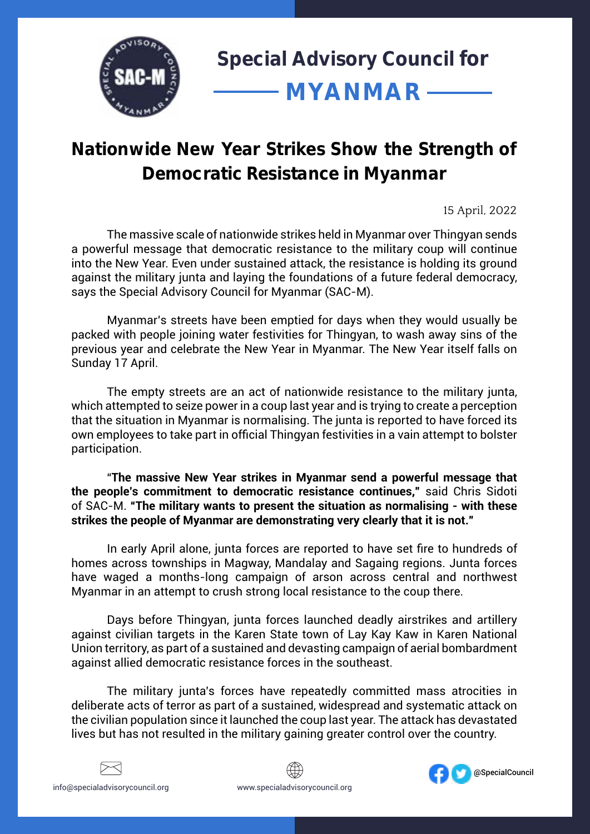

## **Nationwide New Year Strikes Show the Strength of Democratic Resistance in Myanmar**

15 April, 2022

The massive scale of nationwide strikes held in Myanmar over Thingyan sends a powerful message that democratic resistance to the military coup will continue into the New Year. Even under sustained attack, the resistance is holding its ground against the military junta and laying the foundations of a future federal democracy, says the Special Advisory Council for Myanmar (SAC-M).

Myanmar's streets have been emptied for days when they would usually be packed with people joining water festivities for Thingyan, to wash away sins of the previous year and celebrate the New Year in Myanmar. The New Year itself falls on Sunday 17 April.

The empty streets are an act of nationwide resistance to the military junta, which attempted to seize power in a coup last year and is trying to create a perception that the situation in Myanmar is normalising. The junta is reported to have forced its own employees to take part in official Thingyan festivities in a vain attempt to bolster participation.

"**The massive New Year strikes in Myanmar send a powerful message that the people's commitment to democratic resistance continues,"** said Chris Sidoti of SAC-M. **"The military wants to present the situation as normalising - with these strikes the people of Myanmar are demonstrating very clearly that it is not."** 

In early April alone, junta forces are reported to have set fire to hundreds of homes across townships in Magway, Mandalay and Sagaing regions. Junta forces have waged a months-long campaign of arson across central and northwest Myanmar in an attempt to crush strong local resistance to the coup there.

Days before Thingyan, junta forces launched deadly airstrikes and artillery against civilian targets in the Karen State town of Lay Kay Kaw in Karen National Union territory, as part of a sustained and devasting campaign of aerial bombardment against allied democratic resistance forces in the southeast.

The military junta's forces have repeatedly committed mass atrocities in deliberate acts of terror as part of a sustained, widespread and systematic attack on the civilian population since it launched the coup last year. The attack has devastated lives but has not resulted in the military gaining greater control over the country.